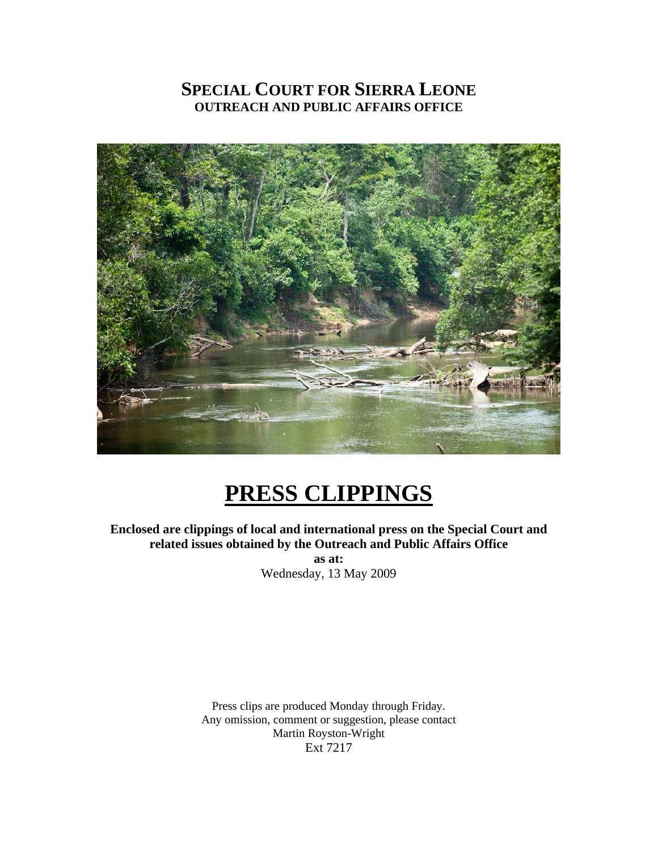## **SPECIAL COURT FOR SIERRA LEONE OUTREACH AND PUBLIC AFFAIRS OFFICE**



# **PRESS CLIPPINGS**

**Enclosed are clippings of local and international press on the Special Court and related issues obtained by the Outreach and Public Affairs Office** 

> **as at:**  Wednesday, 13 May 2009

Press clips are produced Monday through Friday. Any omission, comment or suggestion, please contact Martin Royston-Wright Ext 7217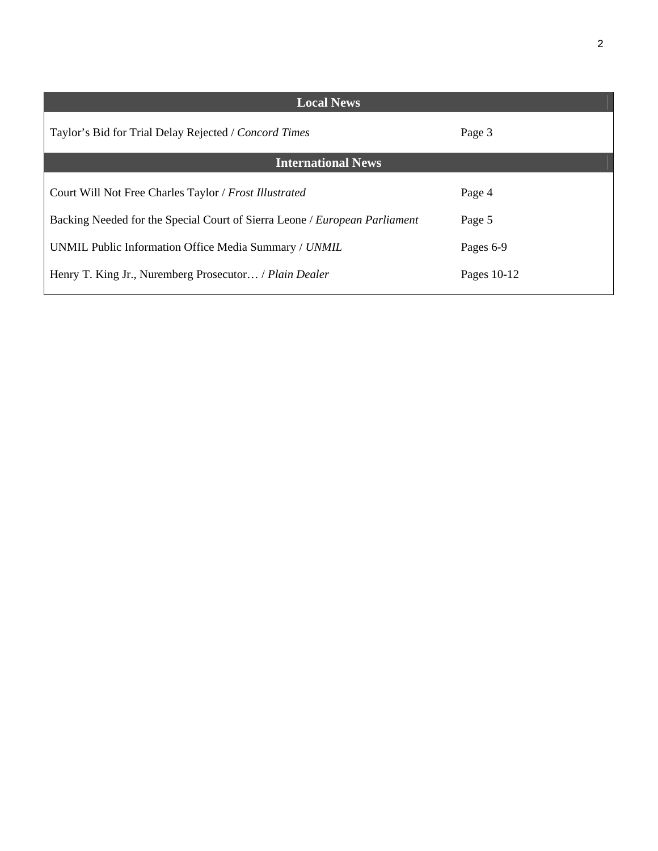| <b>Local News</b>                                                          |             |
|----------------------------------------------------------------------------|-------------|
| Taylor's Bid for Trial Delay Rejected / Concord Times                      | Page 3      |
| <b>International News</b>                                                  |             |
| Court Will Not Free Charles Taylor / Frost Illustrated                     | Page 4      |
| Backing Needed for the Special Court of Sierra Leone / European Parliament | Page 5      |
| UNMIL Public Information Office Media Summary / UNMIL                      | Pages 6-9   |
| Henry T. King Jr., Nuremberg Prosecutor / Plain Dealer                     | Pages 10-12 |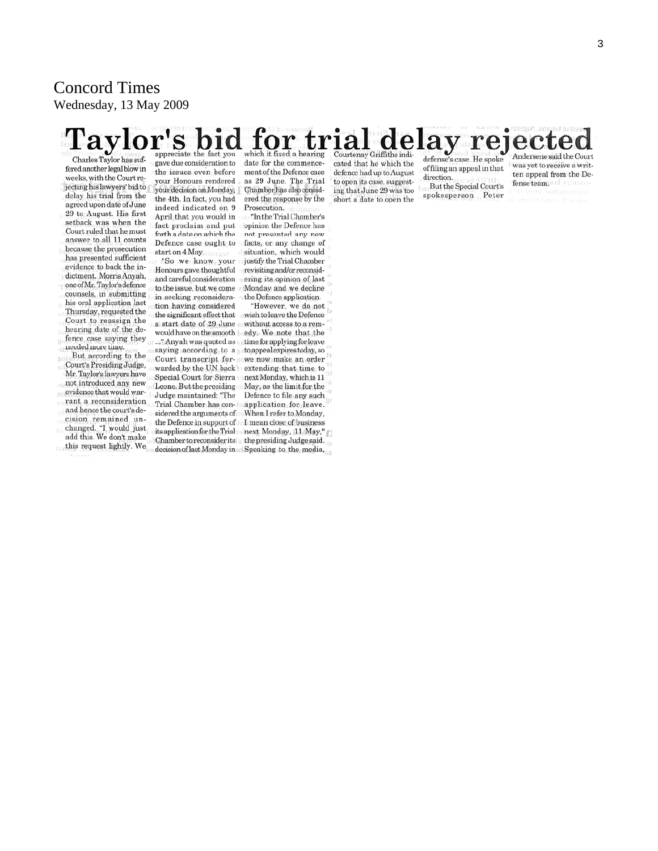### Concord Times Wednesday, 13 May 2009

#### ial delay rej Courtenay Griffiths indiwhich it fixed a hearing eciate the fact you Charles Taylor has suf-

fered another legal blow in weeks, with the Court rejecting his lawyers' bid to delay his trial from the agreed upon date of June 29 to August. His first setback was when the Court ruled that he must answer to all 11 counts because the prosecution has presented sufficient evidence to back the indictment. Morris Anyah, one of Mr. Taylor's defence counsels, in submitting his oral application last Thursday, requested the Court to reassign the hearing date of the defence case saying they needed more time.

But according to the Court's Presiding Judge, Mr. Taylor's lawyers have not introduced any new evidence that would warrant a reconsideration and hence the court's decision remained unchanged. "I would just add this. We don't make this request lightly. We

gave due consideration to the issues even before your Honours rendered your decision on Monday, the 4th. In fact, you had indeed indicated on 9 April that you would in fact proclaim and put forth a date on which the Defence case ought to

start on 4 May. "So we know your Honours gave thoughtful and careful consideration to the issue, but we come in seeking reconsideration having considered the significant effect that a start date of 29 June would have on the smooth  ${\bf b}$ ..." Anyah was quoted as Court transcript forwarded by the UN back Special Court for Sierra Leone. But the presiding Judge maintained: "The Trial Chamber has considered the arguments of the Defence in support of

date for the commencement of the Defence case as 29 June. The Trial Chamber has also considered the response by the Prosecution.

"In the Trial Chamber's opinion the Defence has not presented any new facts, or any change of situation, which would justify the Trial Chamber revisiting and/or reconsidering its opinion of last Monday and we decline the Defence application.

"However, we do not wish to leave the Defence without access to a remedy. We note that the time for applying for leave saying according to a to appeal expires today, so we now make an order extending that time to next Monday, which is 11 May, as the limit for the Defence to file any such application for leave. When I refer to Monday, I mean close of business its application for the Trial shext Monday, 11 May," Chamber to reconsider its the presiding Judge said. decision of last Monday in Bpeaking to the media,

cated that he which the defence had up to August to open its case, suggesting that June 29 was too short a date to open the

defense's case. He spoke of filing an appeal in that direction. But the Special Court's spokesperson Peter

Andersene said the Court was yet to receive a written appeal from the Defense team! UBI Y LITUA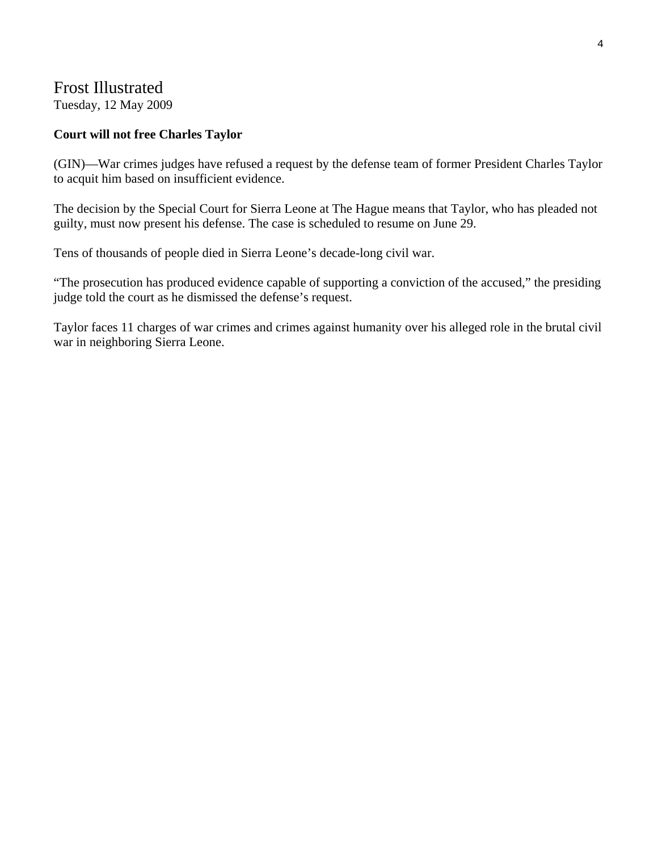### Frost Illustrated

Tuesday, 12 May 2009

### **Court will not free Charles Taylor**

(GIN)—War crimes judges have refused a request by the defense team of former President Charles Taylor to acquit him based on insufficient evidence.

The decision by the Special Court for Sierra Leone at The Hague means that Taylor, who has pleaded not guilty, must now present his defense. The case is scheduled to resume on June 29.

Tens of thousands of people died in Sierra Leone's decade-long civil war.

"The prosecution has produced evidence capable of supporting a conviction of the accused," the presiding judge told the court as he dismissed the defense's request.

Taylor faces 11 charges of war crimes and crimes against humanity over his alleged role in the brutal civil war in neighboring Sierra Leone.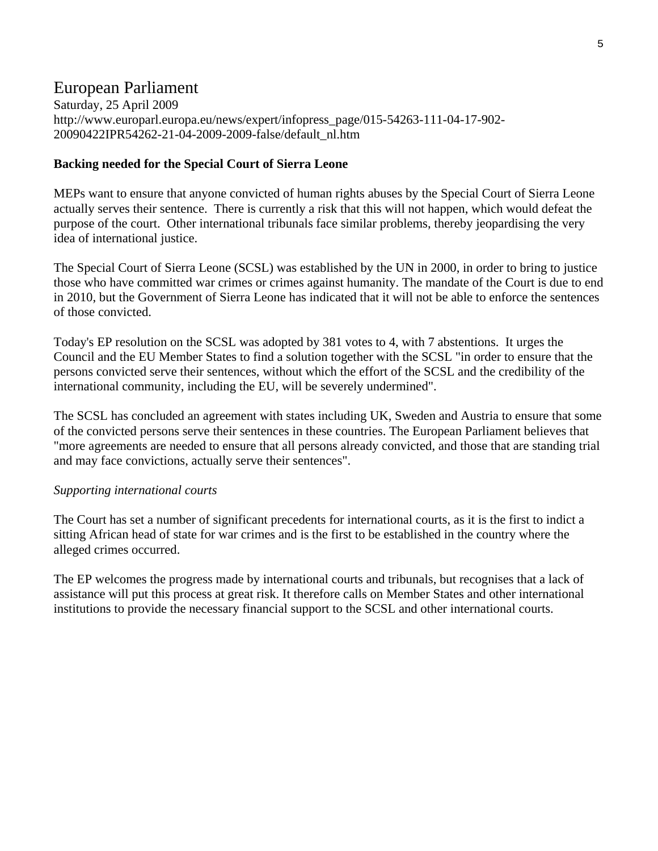### European Parliament

Saturday, 25 April 2009 http://www.europarl.europa.eu/news/expert/infopress\_page/015-54263-111-04-17-902- 20090422IPR54262-21-04-2009-2009-false/default\_nl.htm

### **Backing needed for the Special Court of Sierra Leone**

MEPs want to ensure that anyone convicted of human rights abuses by the Special Court of Sierra Leone actually serves their sentence. There is currently a risk that this will not happen, which would defeat the purpose of the court. Other international tribunals face similar problems, thereby jeopardising the very idea of international justice.

The Special Court of Sierra Leone (SCSL) was established by the UN in 2000, in order to bring to justice those who have committed war crimes or crimes against humanity. The mandate of the Court is due to end in 2010, but the Government of Sierra Leone has indicated that it will not be able to enforce the sentences of those convicted.

Today's EP resolution on the SCSL was adopted by 381 votes to 4, with 7 abstentions. It urges the Council and the EU Member States to find a solution together with the SCSL "in order to ensure that the persons convicted serve their sentences, without which the effort of the SCSL and the credibility of the international community, including the EU, will be severely undermined".

The SCSL has concluded an agreement with states including UK, Sweden and Austria to ensure that some of the convicted persons serve their sentences in these countries. The European Parliament believes that "more agreements are needed to ensure that all persons already convicted, and those that are standing trial and may face convictions, actually serve their sentences".

### *Supporting international courts*

The Court has set a number of significant precedents for international courts, as it is the first to indict a sitting African head of state for war crimes and is the first to be established in the country where the alleged crimes occurred.

The EP welcomes the progress made by international courts and tribunals, but recognises that a lack of assistance will put this process at great risk. It therefore calls on Member States and other international institutions to provide the necessary financial support to the SCSL and other international courts.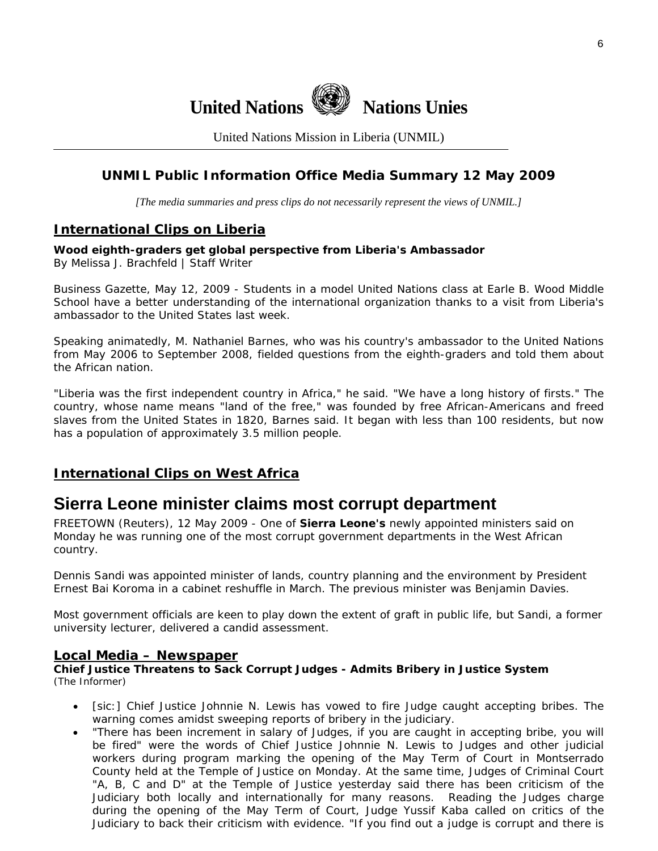

United Nations Mission in Liberia (UNMIL)

### **UNMIL Public Information Office Media Summary 12 May 2009**

*[The media summaries and press clips do not necessarily represent the views of UNMIL.]* 

### **International Clips on Liberia**

**Wood eighth-graders get global perspective from Liberia's Ambassador**  By Melissa J. Brachfeld | Staff Writer

Business Gazette, May 12, 2009 - Students in a model United Nations class at Earle B. Wood Middle School have a better understanding of the international organization thanks to a visit from Liberia's ambassador to the United States last week.

Speaking animatedly, M. Nathaniel Barnes, who was his country's ambassador to the United Nations from May 2006 to September 2008, fielded questions from the eighth-graders and told them about the African nation.

"Liberia was the first independent country in Africa," he said. "We have a long history of firsts." The country, whose name means "land of the free," was founded by free African-Americans and freed slaves from the United States in 1820, Barnes said. It began with less than 100 residents, but now has a population of approximately 3.5 million people.

### **International Clips on West Africa**

### **Sierra Leone minister claims most corrupt department**

FREETOWN (Reuters), 12 May 2009 - One of **Sierra Leone's** newly appointed ministers said on Monday he was running one of the most corrupt government departments in the West African country.

Dennis Sandi was appointed minister of lands, country planning and the environment by President Ernest Bai Koroma in a cabinet reshuffle in March. The previous minister was Benjamin Davies.

Most government officials are keen to play down the extent of graft in public life, but Sandi, a former university lecturer, delivered a candid assessment.

### **Local Media – Newspaper**

**Chief Justice Threatens to Sack Corrupt Judges - Admits Bribery in Justice System**  (The Informer)

- [sic:] Chief Justice Johnnie N. Lewis has vowed to fire Judge caught accepting bribes. The warning comes amidst sweeping reports of bribery in the judiciary.
- "There has been increment in salary of Judges, if you are caught in accepting bribe, you will be fired" were the words of Chief Justice Johnnie N. Lewis to Judges and other judicial workers during program marking the opening of the May Term of Court in Montserrado County held at the Temple of Justice on Monday. At the same time, Judges of Criminal Court "A, B, C and D" at the Temple of Justice yesterday said there has been criticism of the Judiciary both locally and internationally for many reasons. Reading the Judges charge during the opening of the May Term of Court, Judge Yussif Kaba called on critics of the Judiciary to back their criticism with evidence. "If you find out a judge is corrupt and there is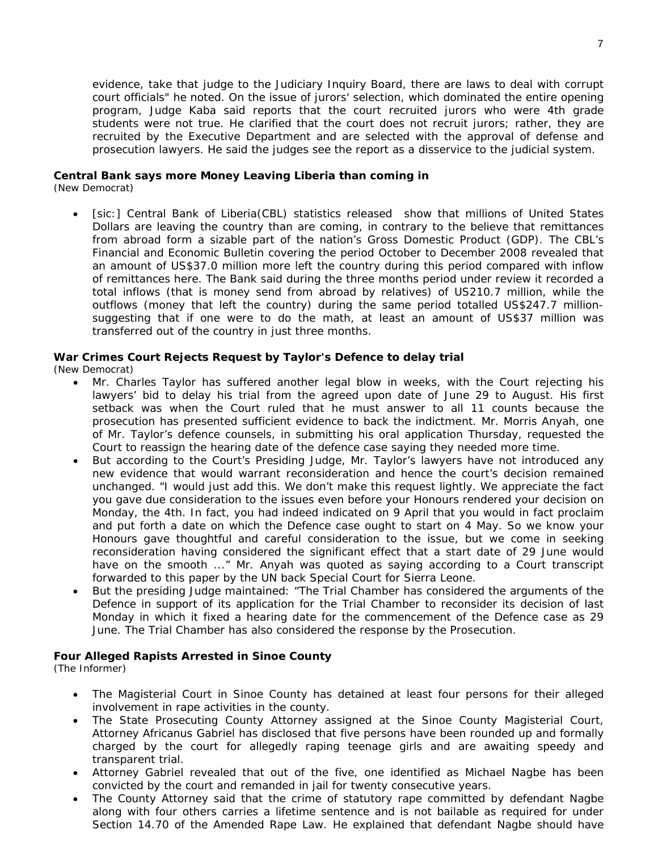evidence, take that judge to the Judiciary Inquiry Board, there are laws to deal with corrupt court officials" he noted. On the issue of jurors' selection, which dominated the entire opening program, Judge Kaba said reports that the court recruited jurors who were 4th grade students were not true. He clarified that the court does not recruit jurors; rather, they are recruited by the Executive Department and are selected with the approval of defense and prosecution lawyers. He said the judges see the report as a disservice to the judicial system.

#### **Central Bank says more Money Leaving Liberia than coming in**

(New Democrat)

[sic:] Central Bank of Liberia(CBL) statistics released show that millions of United States Dollars are leaving the country than are coming, in contrary to the believe that remittances from abroad form a sizable part of the nation's Gross Domestic Product (GDP). The CBL's Financial and Economic Bulletin covering the period October to December 2008 revealed that an amount of US\$37.0 million more left the country during this period compared with inflow of remittances here. The Bank said during the three months period under review it recorded a total inflows (that is money send from abroad by relatives) of US210.7 million, while the outflows (money that left the country) during the same period totalled US\$247.7 millionsuggesting that if one were to do the math, at least an amount of US\$37 million was transferred out of the country in just three months.

### **War Crimes Court Rejects Request by Taylor's Defence to delay trial**

(New Democrat)

- Mr. Charles Taylor has suffered another legal blow in weeks, with the Court rejecting his lawyers' bid to delay his trial from the agreed upon date of June 29 to August. His first setback was when the Court ruled that he must answer to all 11 counts because the prosecution has presented sufficient evidence to back the indictment. Mr. Morris Anyah, one of Mr. Taylor's defence counsels, in submitting his oral application Thursday, requested the Court to reassign the hearing date of the defence case saying they needed more time.
- But according to the Court's Presiding Judge, Mr. Taylor's lawyers have not introduced any new evidence that would warrant reconsideration and hence the court's decision remained unchanged. "I would just add this. We don't make this request lightly. We appreciate the fact you gave due consideration to the issues even before your Honours rendered your decision on Monday, the 4th. In fact, you had indeed indicated on 9 April that you would in fact proclaim and put forth a date on which the Defence case ought to start on 4 May. So we know your Honours gave thoughtful and careful consideration to the issue, but we come in seeking reconsideration having considered the significant effect that a start date of 29 June would have on the smooth ..." Mr. Anyah was quoted as saying according to a Court transcript forwarded to this paper by the UN back Special Court for Sierra Leone.
- But the presiding Judge maintained: "The Trial Chamber has considered the arguments of the Defence in support of its application for the Trial Chamber to reconsider its decision of last Monday in which it fixed a hearing date for the commencement of the Defence case as 29 June. The Trial Chamber has also considered the response by the Prosecution.

#### **Four Alleged Rapists Arrested in Sinoe County**

(The Informer)

- The Magisterial Court in Sinoe County has detained at least four persons for their alleged involvement in rape activities in the county.
- The State Prosecuting County Attorney assigned at the Sinoe County Magisterial Court, Attorney Africanus Gabriel has disclosed that five persons have been rounded up and formally charged by the court for allegedly raping teenage girls and are awaiting speedy and transparent trial.
- Attorney Gabriel revealed that out of the five, one identified as Michael Nagbe has been convicted by the court and remanded in jail for twenty consecutive years.
- The County Attorney said that the crime of statutory rape committed by defendant Nagbe along with four others carries a lifetime sentence and is not bailable as required for under Section 14.70 of the Amended Rape Law. He explained that defendant Nagbe should have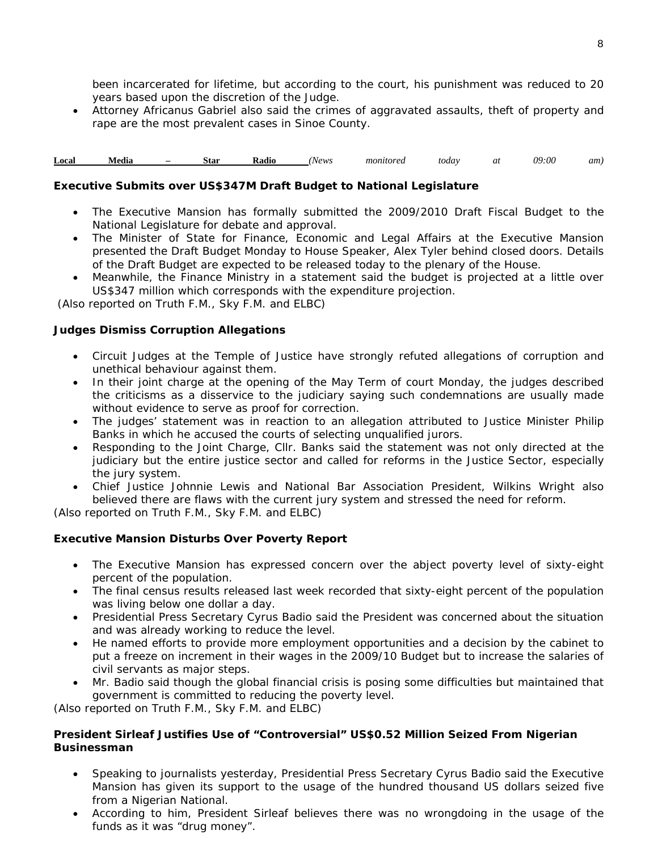been incarcerated for lifetime, but according to the court, his punishment was reduced to 20 years based upon the discretion of the Judge.

• Attorney Africanus Gabriel also said the crimes of aggravated assaults, theft of property and rape are the most prevalent cases in Sinoe County.

**Local Media – Star Radio** *(News monitored today at 09:00 am)* 

#### **Executive Submits over US\$347M Draft Budget to National Legislature**

- The Executive Mansion has formally submitted the 2009/2010 Draft Fiscal Budget to the National Legislature for debate and approval.
- The Minister of State for Finance, Economic and Legal Affairs at the Executive Mansion presented the Draft Budget Monday to House Speaker, Alex Tyler behind closed doors. Details of the Draft Budget are expected to be released today to the plenary of the House.
- Meanwhile, the Finance Ministry in a statement said the budget is projected at a little over US\$347 million which corresponds with the expenditure projection.

 *(Also reported on Truth F.M., Sky F.M. and ELBC*)

#### **Judges Dismiss Corruption Allegations**

- Circuit Judges at the Temple of Justice have strongly refuted allegations of corruption and unethical behaviour against them.
- In their joint charge at the opening of the May Term of court Monday, the judges described the criticisms as a disservice to the judiciary saying such condemnations are usually made without evidence to serve as proof for correction.
- The judges' statement was in reaction to an allegation attributed to Justice Minister Philip Banks in which he accused the courts of selecting unqualified jurors.
- Responding to the Joint Charge, Cllr. Banks said the statement was not only directed at the judiciary but the entire justice sector and called for reforms in the Justice Sector, especially the jury system.
- Chief Justice Johnnie Lewis and National Bar Association President, Wilkins Wright also believed there are flaws with the current jury system and stressed the need for reform.

*(Also reported on Truth F.M., Sky F.M. and ELBC*)

#### **Executive Mansion Disturbs Over Poverty Report**

- The Executive Mansion has expressed concern over the abject poverty level of sixty-eight percent of the population.
- The final census results released last week recorded that sixty-eight percent of the population was living below one dollar a day.
- Presidential Press Secretary Cyrus Badio said the President was concerned about the situation and was already working to reduce the level.
- He named efforts to provide more employment opportunities and a decision by the cabinet to put a freeze on increment in their wages in the 2009/10 Budget but to increase the salaries of civil servants as major steps.
- Mr. Badio said though the global financial crisis is posing some difficulties but maintained that government is committed to reducing the poverty level.

*(Also reported on Truth F.M., Sky F.M. and ELBC*)

#### **President Sirleaf Justifies Use of "Controversial" US\$0.52 Million Seized From Nigerian Businessman**

- Speaking to journalists yesterday, Presidential Press Secretary Cyrus Badio said the Executive Mansion has given its support to the usage of the hundred thousand US dollars seized five from a Nigerian National.
- According to him, President Sirleaf believes there was no wrongdoing in the usage of the funds as it was "drug money".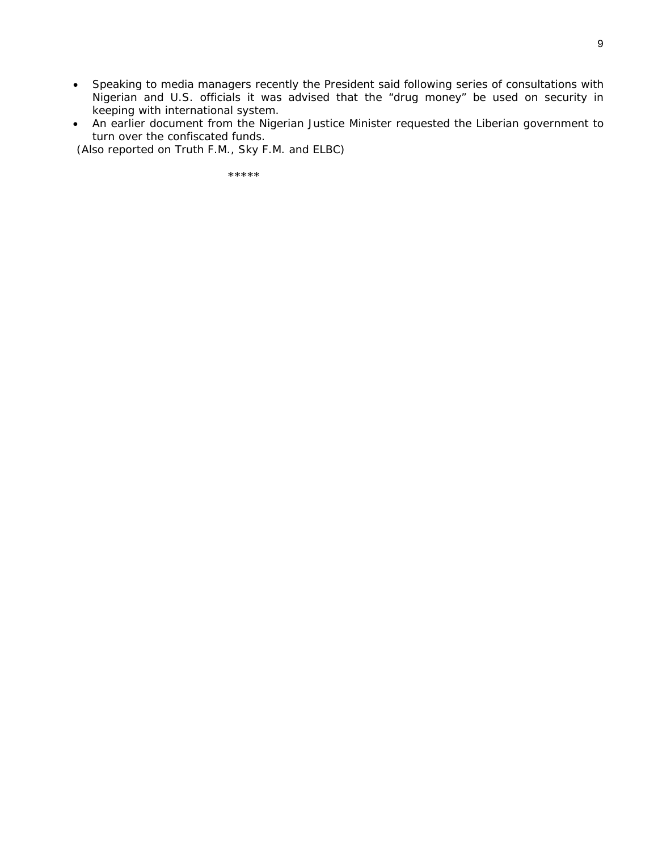- Speaking to media managers recently the President said following series of consultations with Nigerian and U.S. officials it was advised that the "drug money" be used on security in keeping with international system.
- An earlier document from the Nigerian Justice Minister requested the Liberian government to turn over the confiscated funds.

*(Also reported on Truth F.M., Sky F.M. and ELBC*)

\*\*\*\*\*\*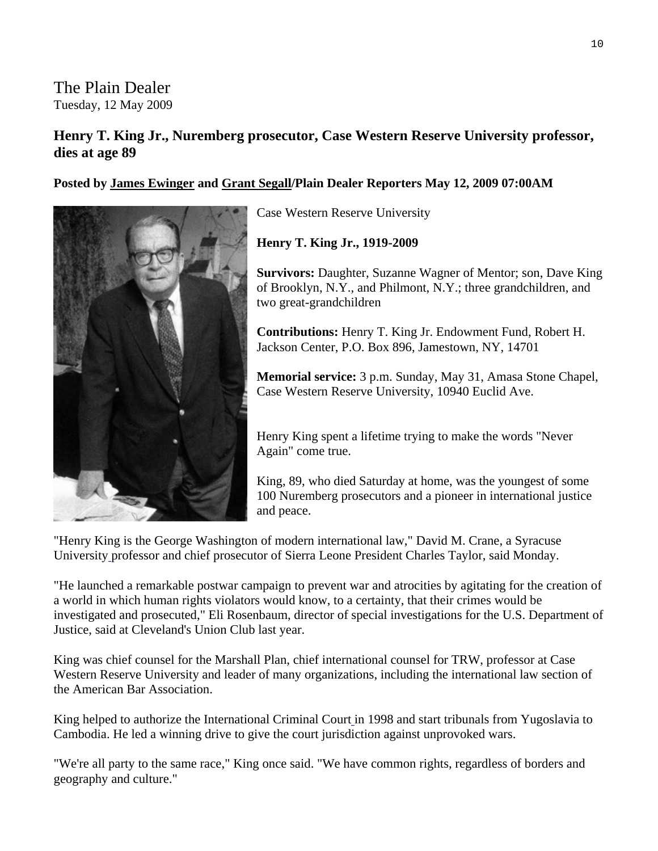The Plain Dealer Tuesday, 12 May 2009

### **Henry T. King Jr., Nuremberg prosecutor, Case Western Reserve University professor, dies at age 89**

**Posted by [James Ewinger](mailto:jewinger@plaind.com) and Grant Segall/Plain Dealer Reporters May 12, 2009 07:00AM** 



Case Western Reserve University

**Henry T. King Jr., 1919-2009**

**Survivors:** Daughter, Suzanne Wagner of Mentor; son, Dave K ing of Brooklyn, N.Y., and Philmont, N.Y.; three grandchildren, and two great-grandchildren

**Contributions:** Henry T. King Jr. Endowment Fund, Robert H. Jackson Center, P.O. Box 896, Jamestown, NY, 14701

**Memorial service:** 3 p.m. Sunday, May 31, Amasa Stone Chapel, Case Western Reserve University, 10940 Euclid Ave.

Henry King spent a lifetime trying to make the words "Never Again" come true.

King, 89, who died Saturday at home, was the youngest of some 100 Nuremberg prosecutors and a pioneer in international justice and peace.

"Henry King is the George Washington of modern international law," David M. Crane, a Syracuse University professor and chief prosecutor of Sierra Leone President Charles Taylor, said Monday.

"He launched a remarkable postwar campaign to prevent war and atrocities by agitating for the creation of a world in which human rights violators would know, to a certainty, that their crimes would be investigated and prosecuted," Eli Rosenbaum, director of special investigations for the [U.S. Department of](http://www.usdoj.gov/)  [Justice,](http://www.usdoj.gov/) said at [Cleveland's Union Club](http://www.theunionclub.org/) last year.

King was chief counsel for the [Marshall Plan,](http://www.spartacus.schoolnet.co.uk/USAmarshallP.htm) chief international counsel for [TRW,](http://www.trw.com/) professor at [Case](http://www.case.edu/)  [Western Reserve University](http://www.case.edu/) and leader of many organizations, including the international law section of the American Bar Association.

King helped to authorize the [International Criminal Court](http://www.icc-cpi.int/Menus/ICC?lan=en-GB) in 1998 and start tribunals from Yugoslavia to Cambodia. He led a winning drive to give the court jurisdiction against unprovoked wars.

"We're all party to the same race," King once said. "We have common rights, regardless of borders and geography and culture."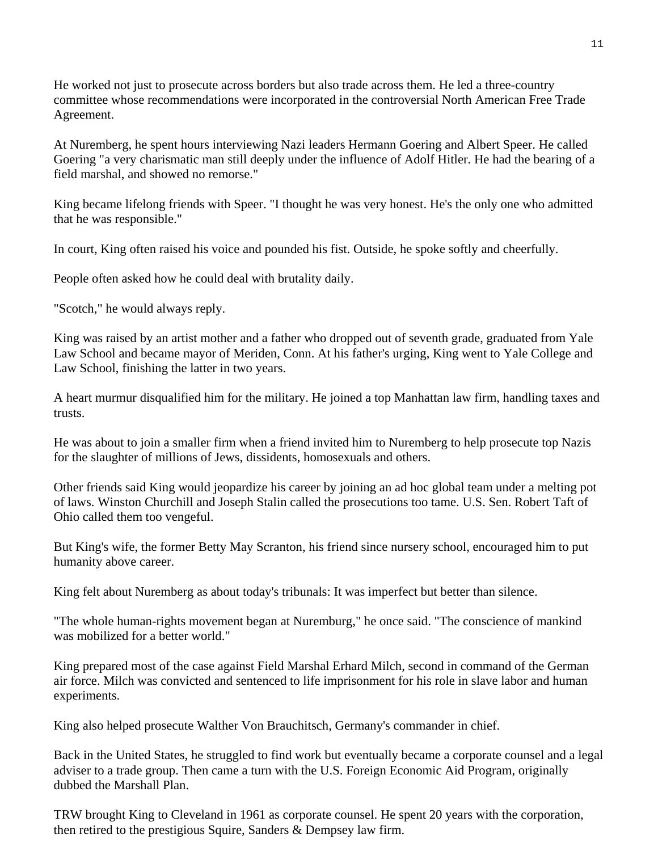He worked not just to prosecute across borders but also trade across them. He led a three-country committee whose recommendations were incorporated in the controversial [North American Free Trade](http://www.fas.usda.gov/itp/Policy/nafta/nafta.asp)  [Agreement](http://www.fas.usda.gov/itp/Policy/nafta/nafta.asp).

At Nuremberg, he spent hours interviewing Nazi leaders [Hermann Goering](http://www.spartacus.schoolnet.co.uk/2WWgoring.htm) and [Albert Speer.](http://www.spartacus.schoolnet.co.uk/GERspeer.htm) He called Goering "a very charismatic man still deeply under the influence of Adolf Hitler. He had the bearing of a field marshal, and showed no remorse."

King became lifelong friends with Speer. "I thought he was very honest. He's the only one who admitted that he was responsible."

In court, King often raised his voice and pounded his fist. Outside, he spoke softly and cheerfully.

People often asked how he could deal with brutality daily.

"Scotch," he would always reply.

King was raised by an artist mother and a father who dropped out of seventh grade, graduated from Yale Law School and became mayor of Meriden, Conn. At his father's urging, King went to Yale College and Law School, finishing the latter in two years.

A heart murmur disqualified him for the military. He joined a top Manhattan law firm, handling taxes and trusts.

He was about to join a smaller firm when a friend invited him to Nuremberg to help prosecute top Nazis for the slaughter of millions of Jews, dissidents, homosexuals and others.

Other friends said King would jeopardize his career by joining an ad hoc global team under a melting pot of laws. Winston Churchill and Joseph Stalin called the prosecutions too tame. U.S. Sen. Robert Taft of Ohio called them too vengeful.

But King's wife, the former Betty May Scranton, his friend since nursery school, encouraged him to put humanity above career.

King felt about Nuremberg as about today's tribunals: It was imperfect but better than silence.

"The whole human-rights movement began at Nuremburg," he once said. "The conscience of mankind was mobilized for a better world."

King prepared most of the case against Field Marshal Erhard Milch, second in command of the German air force. Milch was convicted and sentenced to life imprisonment for his role in slave labor and human experiments.

King also helped prosecute Walther Von Brauchitsch, Germany's commander in chief.

Back in the United States, he struggled to find work but eventually became a corporate counsel and a legal adviser to a trade group. Then came a turn with the U.S. Foreign Economic Aid Program, originally dubbed the Marshall Plan.

TRW brought King to Cleveland in 1961 as corporate counsel. He spent 20 years with the corporation, then retired to the prestigious Squire, Sanders & Dempsey law firm.